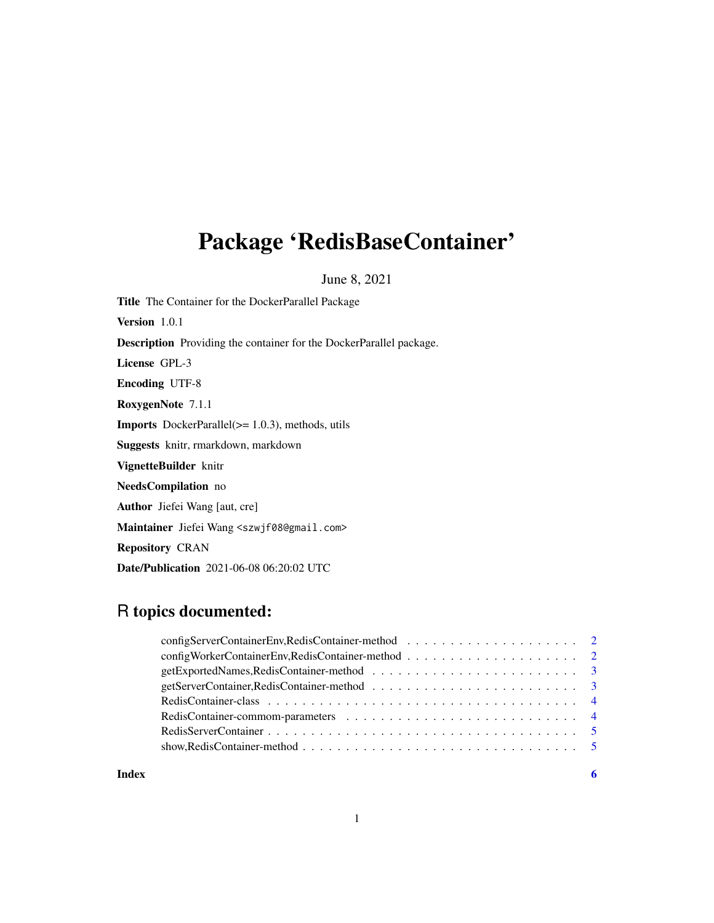# Package 'RedisBaseContainer'

June 8, 2021

| <b>Title</b> The Container for the DockerParallel Package                  |
|----------------------------------------------------------------------------|
| <b>Version</b> 1.0.1                                                       |
| <b>Description</b> Providing the container for the DockerParallel package. |
| License GPL-3                                                              |
| <b>Encoding UTF-8</b>                                                      |
| <b>RoxygenNote</b> 7.1.1                                                   |
| <b>Imports</b> DockerParallel $(>= 1.0.3)$ , methods, utils                |
| <b>Suggests</b> knitr, rmarkdown, markdown                                 |
| VignetteBuilder knitr                                                      |
| NeedsCompilation no                                                        |
| <b>Author</b> Jiefei Wang [aut, cre]                                       |
| Maintainer Jiefei Wang <szwjf08@gmail.com></szwjf08@gmail.com>             |
| <b>Repository CRAN</b>                                                     |

Date/Publication 2021-06-08 06:20:02 UTC

# R topics documented:

**Index** [6](#page-5-0) **6**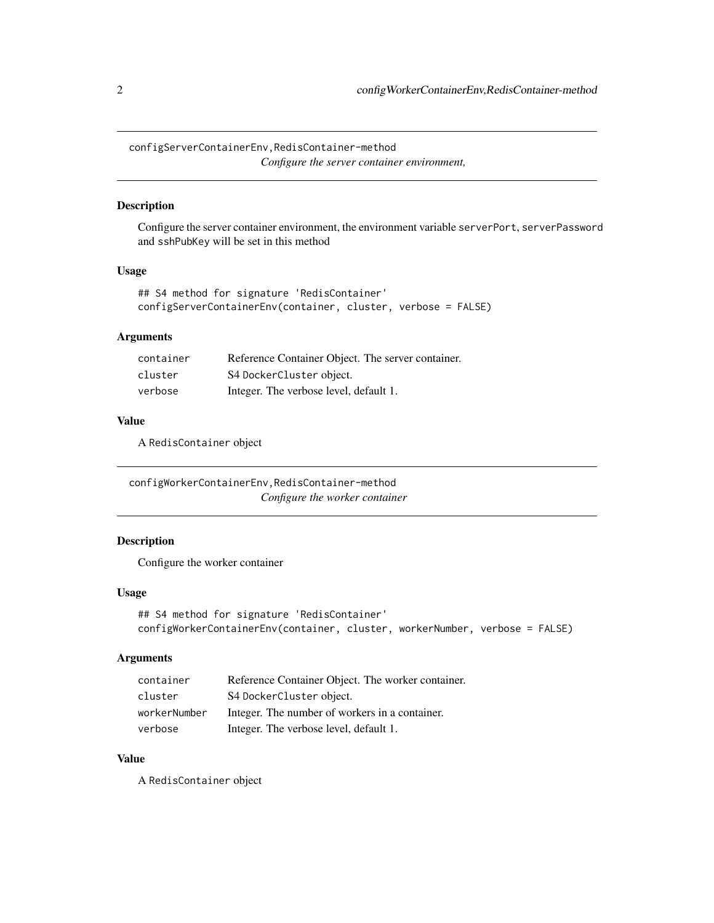<span id="page-1-0"></span>configServerContainerEnv,RedisContainer-method *Configure the server container environment,*

# Description

Configure the server container environment, the environment variable serverPort, serverPassword and sshPubKey will be set in this method

#### Usage

```
## S4 method for signature 'RedisContainer'
configServerContainerEnv(container, cluster, verbose = FALSE)
```
# Arguments

| container | Reference Container Object. The server container. |
|-----------|---------------------------------------------------|
| cluster   | S4 DockerCluster object.                          |
| verbose   | Integer. The verbose level, default 1.            |

#### Value

A RedisContainer object

configWorkerContainerEnv,RedisContainer-method *Configure the worker container*

#### Description

Configure the worker container

#### Usage

```
## S4 method for signature 'RedisContainer'
configWorkerContainerEnv(container, cluster, workerNumber, verbose = FALSE)
```
#### Arguments

| container    | Reference Container Object. The worker container. |
|--------------|---------------------------------------------------|
| cluster      | S4 DockerCluster object.                          |
| workerNumber | Integer. The number of workers in a container.    |
| verbose      | Integer. The verbose level, default 1.            |

# Value

A RedisContainer object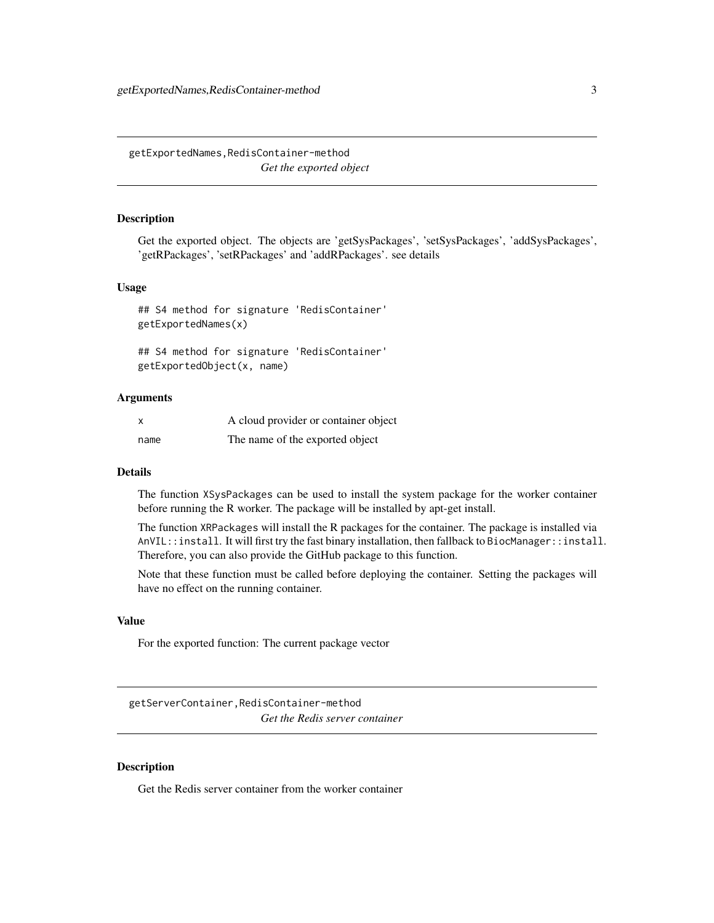<span id="page-2-0"></span>getExportedNames,RedisContainer-method *Get the exported object*

#### Description

Get the exported object. The objects are 'getSysPackages', 'setSysPackages', 'addSysPackages', 'getRPackages', 'setRPackages' and 'addRPackages'. see details

# Usage

## S4 method for signature 'RedisContainer' getExportedNames(x)

## S4 method for signature 'RedisContainer' getExportedObject(x, name)

# Arguments

|      | A cloud provider or container object |
|------|--------------------------------------|
| name | The name of the exported object      |

# **Details**

The function XSysPackages can be used to install the system package for the worker container before running the R worker. The package will be installed by apt-get install.

The function XRPackages will install the R packages for the container. The package is installed via AnVIL::install. It will first try the fast binary installation, then fallback to BiocManager::install. Therefore, you can also provide the GitHub package to this function.

Note that these function must be called before deploying the container. Setting the packages will have no effect on the running container.

#### Value

For the exported function: The current package vector

getServerContainer,RedisContainer-method *Get the Redis server container*

#### Description

Get the Redis server container from the worker container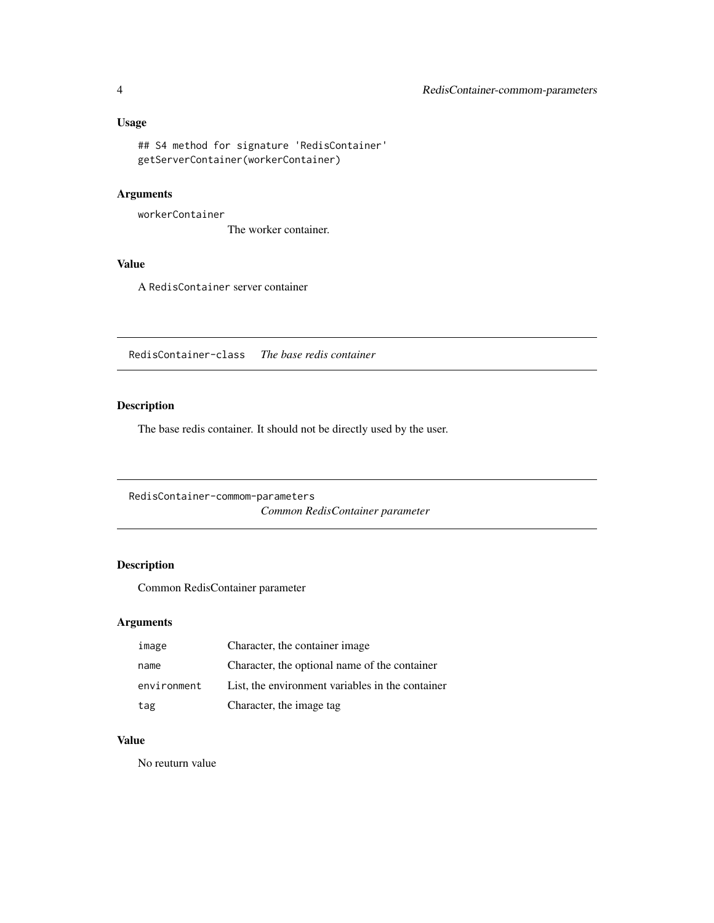# <span id="page-3-0"></span>Usage

```
## S4 method for signature 'RedisContainer'
getServerContainer(workerContainer)
```
# Arguments

workerContainer

The worker container.

# Value

A RedisContainer server container

RedisContainer-class *The base redis container*

# Description

The base redis container. It should not be directly used by the user.

RedisContainer-commom-parameters *Common RedisContainer parameter*

# Description

Common RedisContainer parameter

# Arguments

| image       | Character, the container image                   |
|-------------|--------------------------------------------------|
| name        | Character, the optional name of the container    |
| environment | List, the environment variables in the container |
| tag         | Character, the image tag                         |

# Value

No reuturn value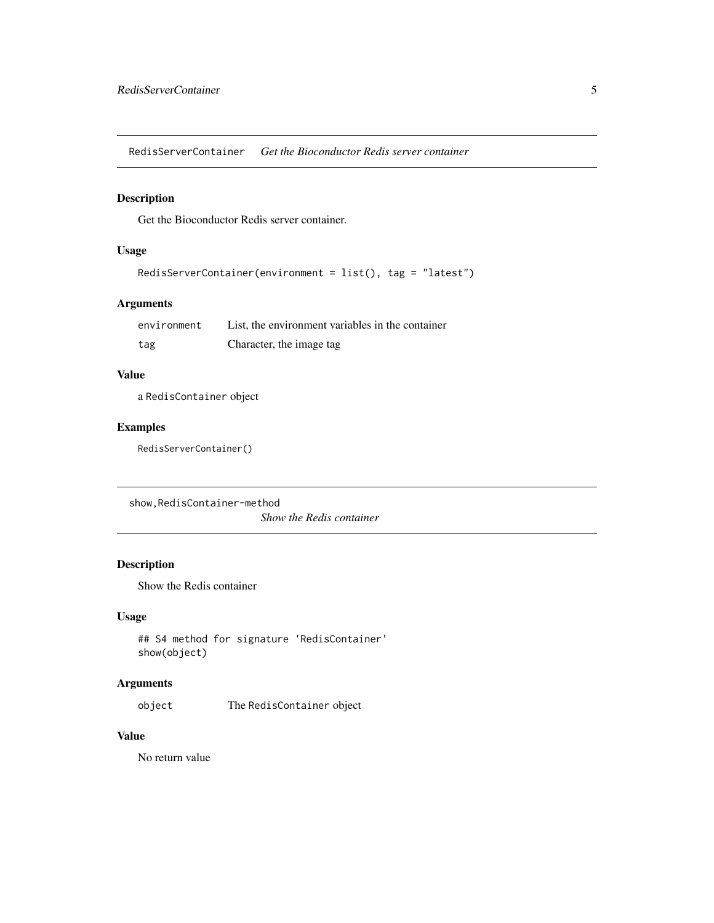<span id="page-4-0"></span>RedisServerContainer *Get the Bioconductor Redis server container*

# Description

Get the Bioconductor Redis server container.

# Usage

```
RedisServerContainer(environment = list(), tag = "latest")
```
# Arguments

| environment | List, the environment variables in the container |
|-------------|--------------------------------------------------|
| tag         | Character, the image tag                         |

# Value

a RedisContainer object

# Examples

RedisServerContainer()

show,RedisContainer-method

*Show the Redis container*

# Description

Show the Redis container

# Usage

```
## S4 method for signature 'RedisContainer'
show(object)
```
# Arguments

object The RedisContainer object

#### Value

No return value